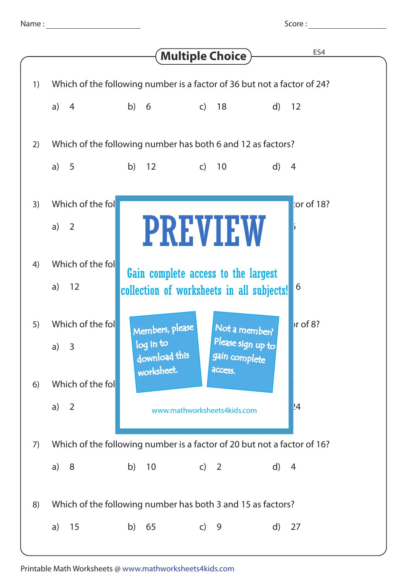